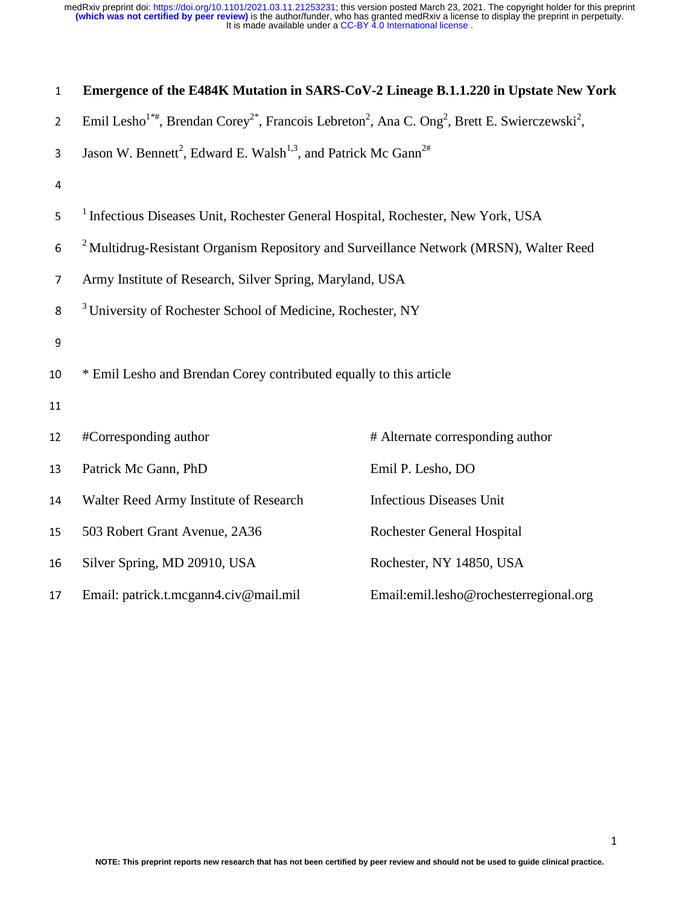| $\mathbf{1}$   | Emergence of the E484K Mutation in SARS-CoV-2 Lineage B.1.1.220 in Upstate New York                                                                       |                                        |  |
|----------------|-----------------------------------------------------------------------------------------------------------------------------------------------------------|----------------------------------------|--|
| $\overline{2}$ | Emil Lesho <sup>1*#</sup> , Brendan Corey <sup>2*</sup> , Francois Lebreton <sup>2</sup> , Ana C. Ong <sup>2</sup> , Brett E. Swierczewski <sup>2</sup> , |                                        |  |
| 3              | Jason W. Bennett <sup>2</sup> , Edward E. Walsh <sup>1,3</sup> , and Patrick Mc Gann <sup>2#</sup>                                                        |                                        |  |
| $\overline{4}$ |                                                                                                                                                           |                                        |  |
| 5              | <sup>1</sup> Infectious Diseases Unit, Rochester General Hospital, Rochester, New York, USA                                                               |                                        |  |
| 6              | <sup>2</sup> Multidrug-Resistant Organism Repository and Surveillance Network (MRSN), Walter Reed                                                         |                                        |  |
| $\overline{7}$ | Army Institute of Research, Silver Spring, Maryland, USA                                                                                                  |                                        |  |
| 8              | <sup>3</sup> University of Rochester School of Medicine, Rochester, NY                                                                                    |                                        |  |
| 9              |                                                                                                                                                           |                                        |  |
| 10             | * Emil Lesho and Brendan Corey contributed equally to this article                                                                                        |                                        |  |
| 11             |                                                                                                                                                           |                                        |  |
| 12             | #Corresponding author                                                                                                                                     | # Alternate corresponding author       |  |
| 13             | Patrick Mc Gann, PhD                                                                                                                                      | Emil P. Lesho, DO                      |  |
| 14             | Walter Reed Army Institute of Research                                                                                                                    | <b>Infectious Diseases Unit</b>        |  |
| 15             | 503 Robert Grant Avenue, 2A36                                                                                                                             | <b>Rochester General Hospital</b>      |  |
| 16             | Silver Spring, MD 20910, USA                                                                                                                              | Rochester, NY 14850, USA               |  |
| 17             | Email: patrick.t.mcgann4.civ@mail.mil                                                                                                                     | Email:emil.lesho@rochesterregional.org |  |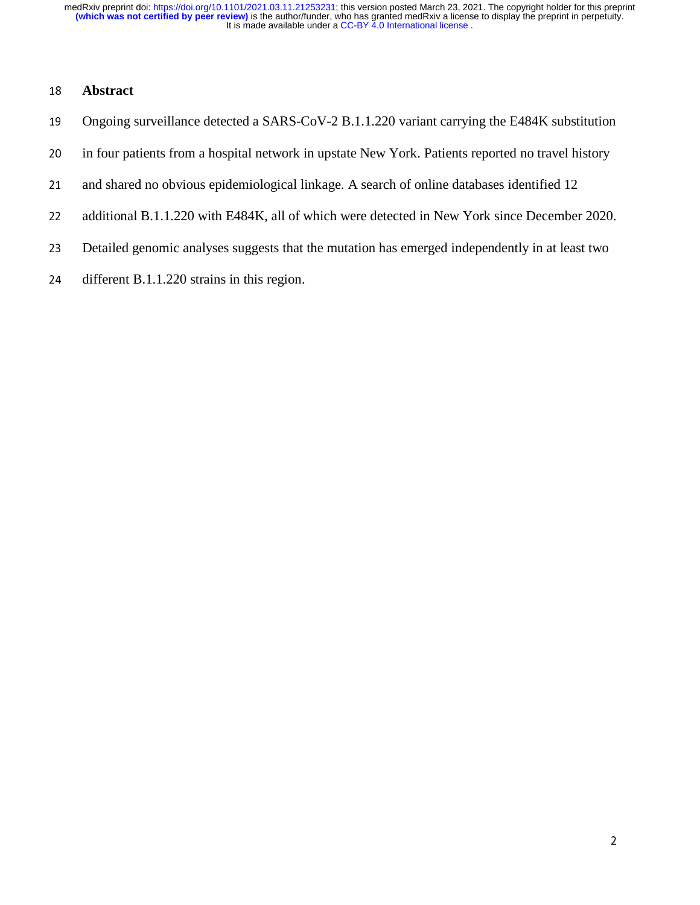# <sup>18</sup>**Abstract**

- 19 Ongoing surveillance detected a SARS-CoV-2 B.1.1.220 variant carrying the E484K substitution
- 20 in four patients from a hospital network in upstate New York. Patients reported no travel history
- 21 and shared no obvious epidemiological linkage. A search of online databases identified 12
- 22 additional B.1.1.220 with E484K, all of which were detected in New York since December 2020.
- 23 Detailed genomic analyses suggests that the mutation has emerged independently in at least two
- 24 different B.1.1.220 strains in this region.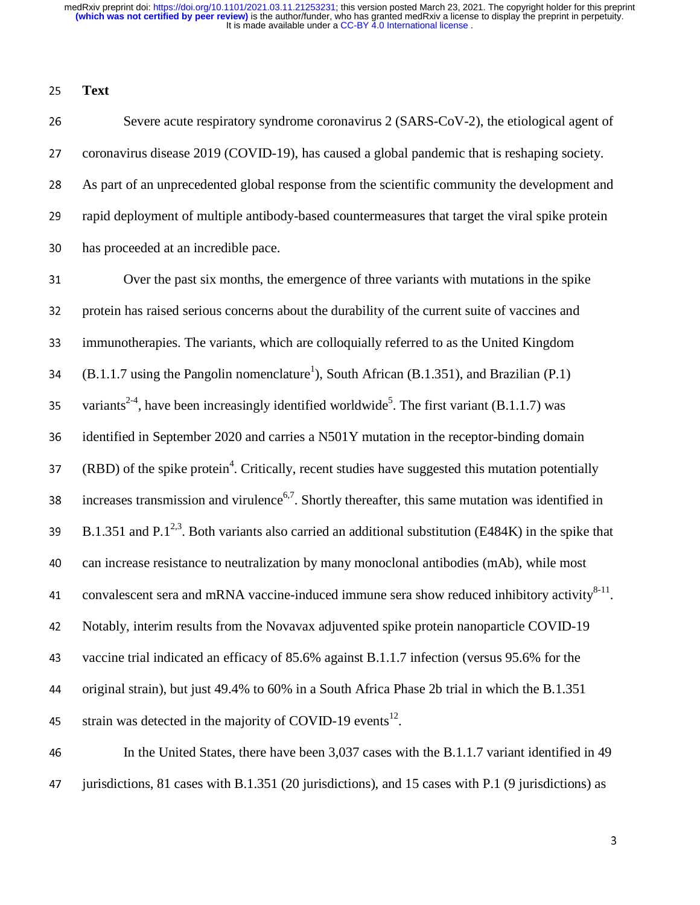<sup>25</sup>**Text** 

26 Severe acute respiratory syndrome coronavirus 2 (SARS-CoV-2), the etiological agent of 27 coronavirus disease 2019 (COVID-19), has caused a global pandemic that is reshaping society. <sup>28</sup>As part of an unprecedented global response from the scientific community the development and 29 rapid deployment of multiple antibody-based countermeasures that target the viral spike protein 30 has proceeded at an incredible pace.

31 Over the past six months, the emergence of three variants with mutations in the spike 32 protein has raised serious concerns about the durability of the current suite of vaccines and 33 immunotherapies. The variants, which are colloquially referred to as the United Kingdom (B.1.1.7 using the Pangolin nomenclature<sup>1</sup>), South African (B.1.351), and Brazilian (P.1) 35 variants<sup>2-4</sup>, have been increasingly identified worldwide<sup>5</sup>. The first variant (B.1.1.7) was 36 identified in September 2020 and carries a N501Y mutation in the receptor-binding domain  $(RBD)$  of the spike protein<sup>4</sup>. Critically, recent studies have suggested this mutation potentially increases transmission and virulence<sup>6,7</sup>. Shortly thereafter, this same mutation was identified in B.1.351 and P.1<sup>2,3</sup>. Both variants also carried an additional substitution (E484K) in the spike that <sup>40</sup>can increase resistance to neutralization by many monoclonal antibodies (mAb), while most 41 convalescent sera and mRNA vaccine-induced immune sera show reduced inhibitory activity  $8-11$ . 42 Notably, interim results from the Novavax adjuvented spike protein nanoparticle COVID-19 43 vaccine trial indicated an efficacy of 85.6% against B.1.1.7 infection (versus 95.6% for the <sup>44</sup>original strain), but just 49.4% to 60% in a South Africa Phase 2b trial in which the B.1.351 45 strain was detected in the majority of COVID-19 events<sup>12</sup>.

46 In the United States, there have been 3,037 cases with the B.1.1.7 variant identified in 49 47 jurisdictions, 81 cases with B.1.351 (20 jurisdictions), and 15 cases with P.1 (9 jurisdictions) as

3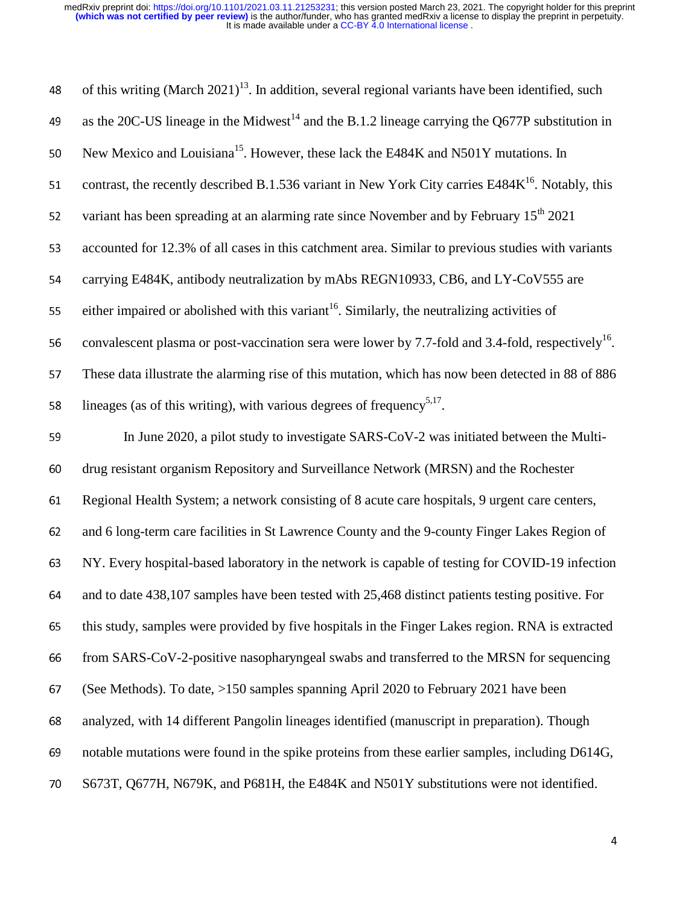| 48 | of this writing (March $2021$ ) <sup>13</sup> . In addition, several regional variants have been identified, such |
|----|-------------------------------------------------------------------------------------------------------------------|
| 49 | as the 20C-US lineage in the Midwest <sup>14</sup> and the B.1.2 lineage carrying the Q677P substitution in       |
| 50 | New Mexico and Louisiana <sup>15</sup> . However, these lack the E484K and N501Y mutations. In                    |
| 51 | contrast, the recently described B.1.536 variant in New York City carries E484K <sup>16</sup> . Notably, this     |
| 52 | variant has been spreading at an alarming rate since November and by February 15 <sup>th</sup> 2021               |
| 53 | accounted for 12.3% of all cases in this catchment area. Similar to previous studies with variants                |
| 54 | carrying E484K, antibody neutralization by mAbs REGN10933, CB6, and LY-CoV555 are                                 |
| 55 | either impaired or abolished with this variant <sup>16</sup> . Similarly, the neutralizing activities of          |
| 56 | convalescent plasma or post-vaccination sera were lower by 7.7-fold and 3.4-fold, respectively <sup>16</sup> .    |
| 57 | These data illustrate the alarming rise of this mutation, which has now been detected in 88 of 886                |
| 58 | lineages (as of this writing), with various degrees of frequency <sup>5,17</sup> .                                |
| 59 | In June 2020, a pilot study to investigate SARS-CoV-2 was initiated between the Multi-                            |
| 60 | drug resistant organism Repository and Surveillance Network (MRSN) and the Rochester                              |
| 61 | Regional Health System; a network consisting of 8 acute care hospitals, 9 urgent care centers,                    |
| 62 | and 6 long-term care facilities in St Lawrence County and the 9-county Finger Lakes Region of                     |
| 63 | NY. Every hospital-based laboratory in the network is capable of testing for COVID-19 infection                   |
| 64 | and to date 438,107 samples have been tested with 25,468 distinct patients testing positive. For                  |
| 65 | this study, samples were provided by five hospitals in the Finger Lakes region. RNA is extracted                  |
| 66 | from SARS-CoV-2-positive nasopharyngeal swabs and transferred to the MRSN for sequencing                          |
| 67 | (See Methods). To date, >150 samples spanning April 2020 to February 2021 have been                               |
| 68 | analyzed, with 14 different Pangolin lineages identified (manuscript in preparation). Though                      |
| 69 | notable mutations were found in the spike proteins from these earlier samples, including D614G,                   |
| 70 | S673T, Q677H, N679K, and P681H, the E484K and N501Y substitutions were not identified.                            |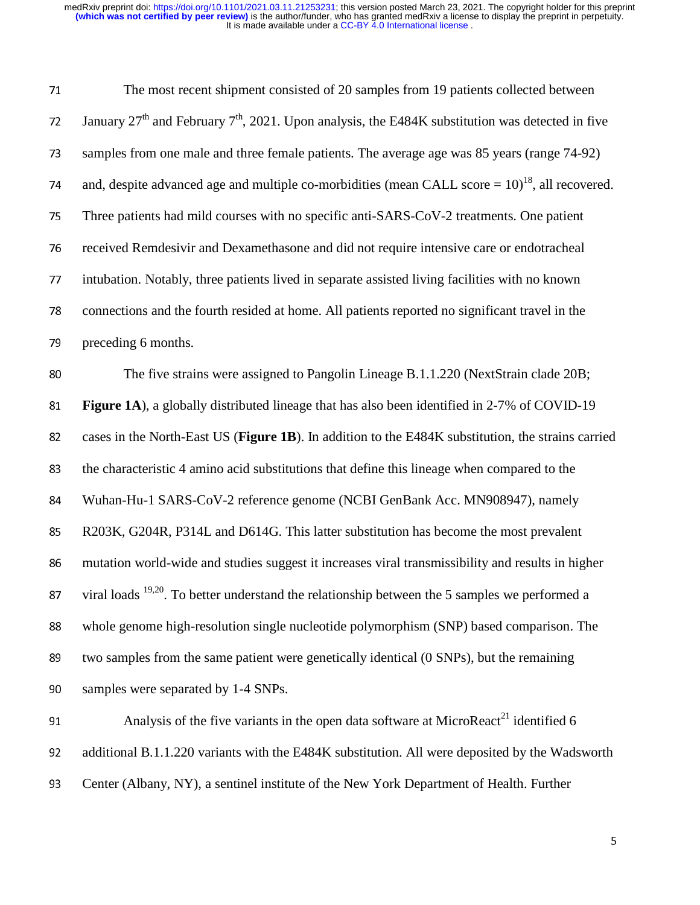| 71 | The most recent shipment consisted of 20 samples from 19 patients collected between                            |
|----|----------------------------------------------------------------------------------------------------------------|
| 72 | January $27th$ and February $7th$ , 2021. Upon analysis, the E484K substitution was detected in five           |
| 73 | samples from one male and three female patients. The average age was 85 years (range 74-92)                    |
| 74 | and, despite advanced age and multiple co-morbidities (mean CALL score $= 10$ ) <sup>18</sup> , all recovered. |
| 75 | Three patients had mild courses with no specific anti-SARS-CoV-2 treatments. One patient                       |
| 76 | received Remdesivir and Dexamethasone and did not require intensive care or endotracheal                       |
| 77 | intubation. Notably, three patients lived in separate assisted living facilities with no known                 |
| 78 | connections and the fourth resided at home. All patients reported no significant travel in the                 |
| 79 | preceding 6 months.                                                                                            |
| 80 | The five strains were assigned to Pangolin Lineage B.1.1.220 (NextStrain clade 20B;                            |
| 81 | Figure 1A), a globally distributed lineage that has also been identified in 2-7% of COVID-19                   |
| 82 | cases in the North-East US (Figure 1B). In addition to the E484K substitution, the strains carried             |
| 83 | the characteristic 4 amino acid substitutions that define this lineage when compared to the                    |
| 84 | Wuhan-Hu-1 SARS-CoV-2 reference genome (NCBI GenBank Acc. MN908947), namely                                    |
| 85 | R203K, G204R, P314L and D614G. This latter substitution has become the most prevalent                          |
| 86 | mutation world-wide and studies suggest it increases viral transmissibility and results in higher              |
|    | 87 viral loads $19,20$ . To better understand the relationship between the 5 samples we performed a            |
| 88 | whole genome high-resolution single nucleotide polymorphism (SNP) based comparison. The                        |
| 89 | two samples from the same patient were genetically identical (0 SNPs), but the remaining                       |
| 90 | samples were separated by 1-4 SNPs.                                                                            |
| 91 | Analysis of the five variants in the open data software at MicroReact <sup>21</sup> identified 6               |
| 92 | additional B.1.1.220 variants with the E484K substitution. All were deposited by the Wadsworth                 |

93 Center (Albany, NY), a sentinel institute of the New York Department of Health. Further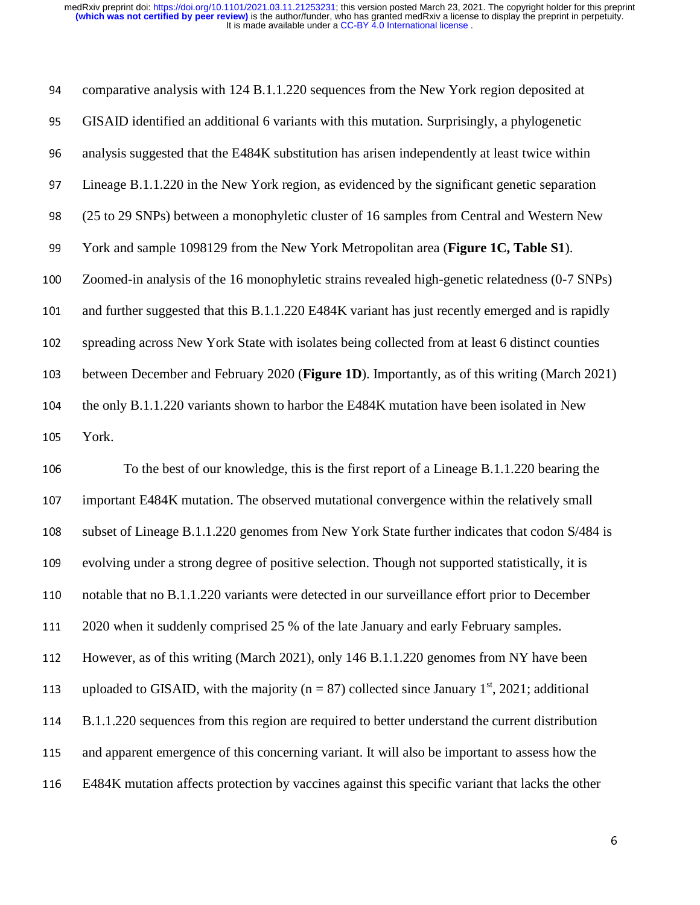94 comparative analysis with 124 B.1.1.220 sequences from the New York region deposited at <sup>95</sup>GISAID identified an additional 6 variants with this mutation. Surprisingly, a phylogenetic 96 analysis suggested that the E484K substitution has arisen independently at least twice within <sup>97</sup>Lineage B.1.1.220 in the New York region, as evidenced by the significant genetic separation <sup>98</sup>(25 to 29 SNPs) between a monophyletic cluster of 16 samples from Central and Western New 99 York and sample 1098129 from the New York Metropolitan area (**Figure 1C, Table S1**). <sup>100</sup>Zoomed-in analysis of the 16 monophyletic strains revealed high-genetic relatedness (0-7 SNPs) 101 and further suggested that this B.1.1.220 E484K variant has just recently emerged and is rapidly 102 spreading across New York State with isolates being collected from at least 6 distinct counties 103 between December and February 2020 (**Figure 1D**). Importantly, as of this writing (March 2021) 104 the only B.1.1.220 variants shown to harbor the E484K mutation have been isolated in New 105 York. 106 To the best of our knowledge, this is the first report of a Lineage B.1.1.220 bearing the

107 important E484K mutation. The observed mutational convergence within the relatively small 108 subset of Lineage B.1.1.220 genomes from New York State further indicates that codon S/484 is 109 evolving under a strong degree of positive selection. Though not supported statistically, it is 110 notable that no B.1.1.220 variants were detected in our surveillance effort prior to December 111 2020 when it suddenly comprised 25 % of the late January and early February samples. 112 However, as of this writing (March 2021), only 146 B.1.1.220 genomes from NY have been 113 uploaded to GISAID, with the majority ( $n = 87$ ) collected since January 1<sup>st</sup>, 2021; additional 114 B.1.1.220 sequences from this region are required to better understand the current distribution 115 and apparent emergence of this concerning variant. It will also be important to assess how the <sup>116</sup>E484K mutation affects protection by vaccines against this specific variant that lacks the other

6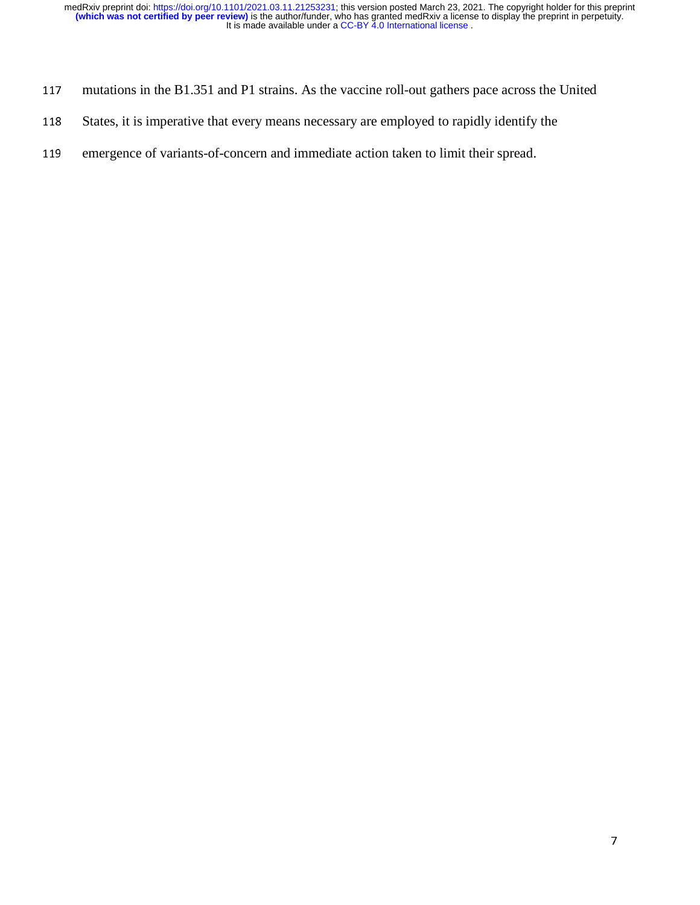- 117 mutations in the B1.351 and P1 strains. As the vaccine roll-out gathers pace across the United
- 118 States, it is imperative that every means necessary are employed to rapidly identify the
- 119 emergence of variants-of-concern and immediate action taken to limit their spread.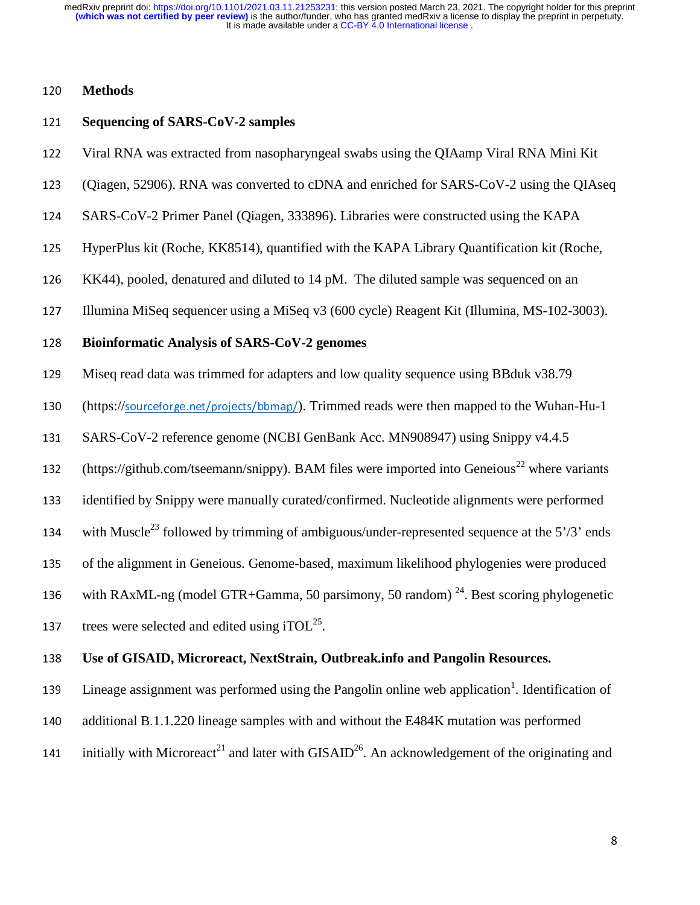## <sup>120</sup>**Methods**

#### <sup>121</sup>**Sequencing of SARS-CoV-2 samples**

- 122 Viral RNA was extracted from nasopharyngeal swabs using the QIAamp Viral RNA Mini Kit
- <sup>123</sup>(Qiagen, 52906). RNA was converted to cDNA and enriched for SARS-CoV-2 using the QIAseq
- 124 SARS-CoV-2 Primer Panel (Qiagen, 333896). Libraries were constructed using the KAPA
- 125 HyperPlus kit (Roche, KK8514), quantified with the KAPA Library Quantification kit (Roche,
- 126 KK44), pooled, denatured and diluted to 14 pM. The diluted sample was sequenced on an
- <sup>127</sup>Illumina MiSeq sequencer using a MiSeq v3 (600 cycle) Reagent Kit (Illumina, MS-102-3003).

#### <sup>128</sup>**Bioinformatic Analysis of SARS-CoV-2 genomes**

<sup>129</sup>Miseq read data was trimmed for adapters and low quality sequence using BBduk v38.79

130 (https://sourceforge.net/projects/bbmap/). Trimmed reads were then mapped to the Wuhan-Hu-1

- 131 SARS-CoV-2 reference genome (NCBI GenBank Acc. MN908947) using Snippy v4.4.5
- 132 (https://github.com/tseemann/snippy). BAM files were imported into Geneious<sup>22</sup> where variants
- 133 identified by Snippy were manually curated/confirmed. Nucleotide alignments were performed

134 with Muscle<sup>23</sup> followed by trimming of ambiguous/under-represented sequence at the 5'/3' ends

135 of the alignment in Geneious. Genome-based, maximum likelihood phylogenies were produced

136 with RAxML-ng (model GTR+Gamma, 50 parsimony, 50 random)<sup>24</sup>. Best scoring phylogenetic

137 trees were selected and edited using iTOL $^{25}$ .

## <sup>138</sup>**Use of GISAID, Microreact, NextStrain, Outbreak.info and Pangolin Resources.**

139 Lineage assignment was performed using the Pangolin online web application<sup>1</sup>. Identification of

- 140 additional B.1.1.220 lineage samples with and without the E484K mutation was performed
- 141 initially with Microreact<sup>21</sup> and later with GISAID<sup>26</sup>. An acknowledgement of the originating and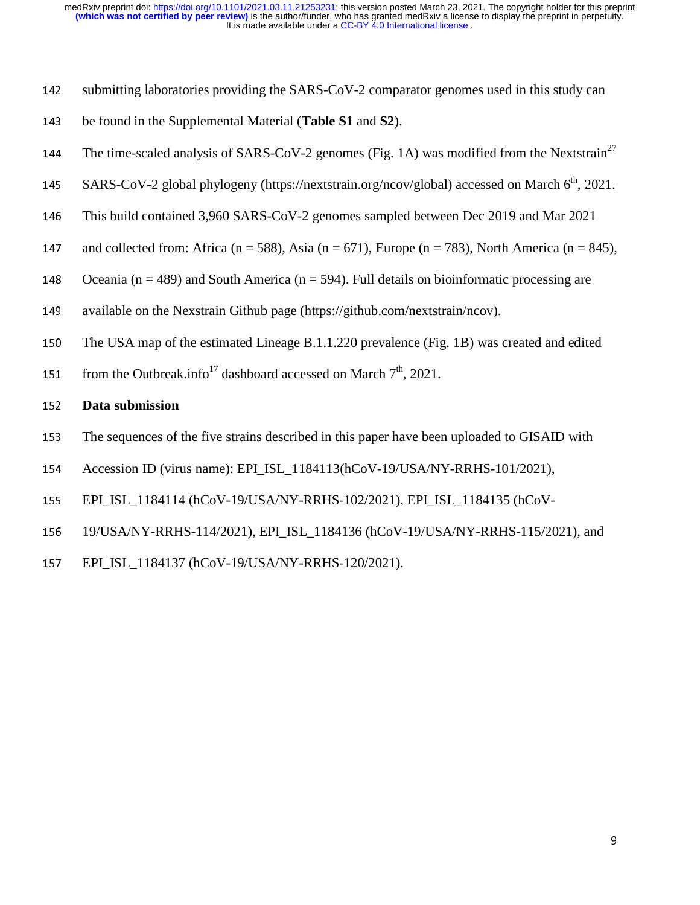- 142 submitting laboratories providing the SARS-CoV-2 comparator genomes used in this study can
- <sup>143</sup>be found in the Supplemental Material (**Table S1** and **S2**).
- 144 The time-scaled analysis of SARS-CoV-2 genomes (Fig. 1A) was modified from the Nextstrain<sup>27</sup>
- 145 SARS-CoV-2 global phylogeny (https://nextstrain.org/ncov/global) accessed on March  $6<sup>th</sup>$ , 2021.
- 146 This build contained 3,960 SARS-CoV-2 genomes sampled between Dec 2019 and Mar 2021
- 147 and collected from: Africa (n = 588), Asia (n = 671), Europe (n = 783), North America (n = 845),
- 148 Oceania (n = 489) and South America (n = 594). Full details on bioinformatic processing are
- 149 available on the Nexstrain Github page (https://github.com/nextstrain/ncov).
- 150 The USA map of the estimated Lineage B.1.1.220 prevalence (Fig. 1B) was created and edited
- 151 from the Outbreak.info<sup>17</sup> dashboard accessed on March  $7<sup>th</sup>$ , 2021.

#### <sup>152</sup>**Data submission**

- 153 The sequences of the five strains described in this paper have been uploaded to GISAID with
- 154 Accession ID (virus name): EPI\_ISL\_1184113(hCoV-19/USA/NY-RRHS-101/2021),
- 155 EPI\_ISL\_1184114 (hCoV-19/USA/NY-RRHS-102/2021), EPI\_ISL\_1184135 (hCoV-
- <sup>156</sup>19/USA/NY-RRHS-114/2021), EPI\_ISL\_1184136 (hCoV-19/USA/NY-RRHS-115/2021), and
- <sup>157</sup>EPI\_ISL\_1184137 (hCoV-19/USA/NY-RRHS-120/2021).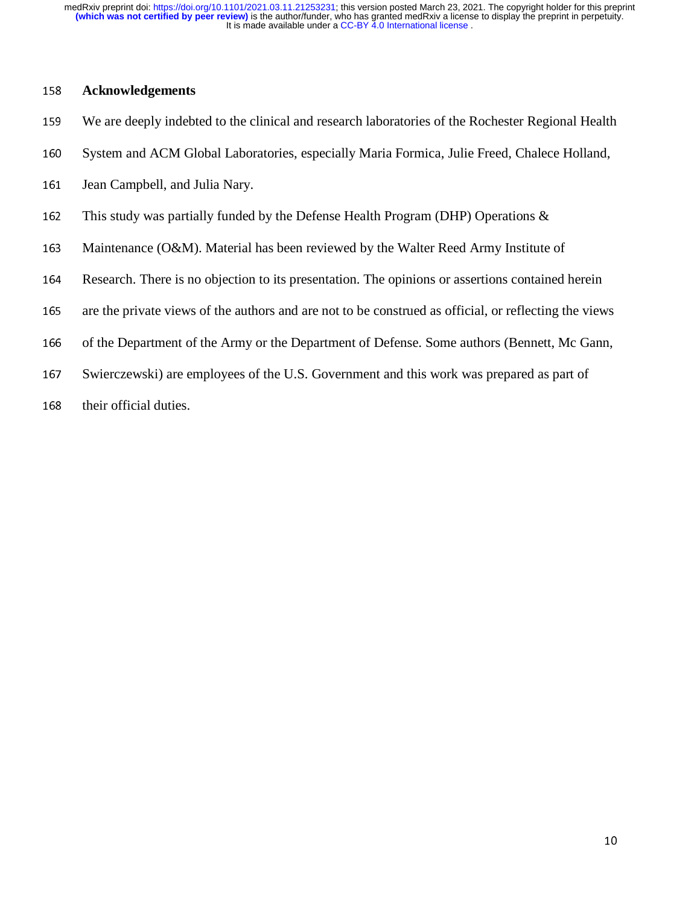## <sup>158</sup>**Acknowledgements**

- 159 We are deeply indebted to the clinical and research laboratories of the Rochester Regional Health
- 160 System and ACM Global Laboratories, especially Maria Formica, Julie Freed, Chalece Holland,
- 161 Jean Campbell, and Julia Nary.
- 162 This study was partially funded by the Defense Health Program (DHP) Operations  $\&$
- 163 Maintenance (O&M). Material has been reviewed by the Walter Reed Army Institute of
- 164 Research. There is no objection to its presentation. The opinions or assertions contained herein
- 165 are the private views of the authors and are not to be construed as official, or reflecting the views
- 166 of the Department of the Army or the Department of Defense. Some authors (Bennett, Mc Gann,
- 167 Swierczewski) are employees of the U.S. Government and this work was prepared as part of
- 168 their official duties.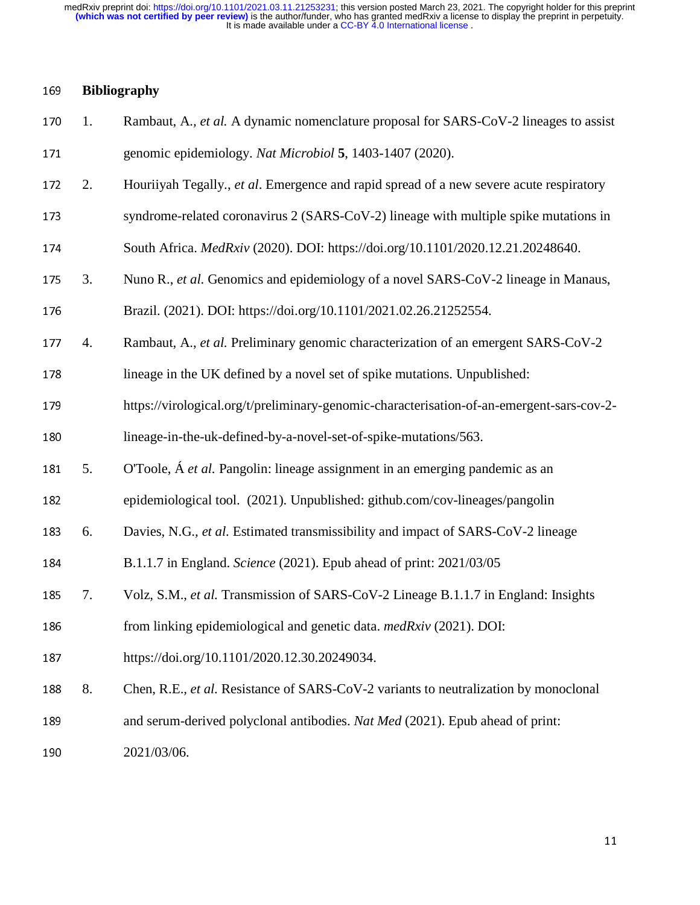### <sup>169</sup>**Bibliography**

- <sup>170</sup>1. Rambaut, A.*, et al.* A dynamic nomenclature proposal for SARS-CoV-2 lineages to assist <sup>171</sup>genomic epidemiology. *Nat Microbiol* **<sup>5</sup>**, 1403-1407 (2020).
- <sup>172</sup>2. Houriiyah Tegally., *et al*. Emergence and rapid spread of a new severe acute respiratory
- 173 syndrome-related coronavirus 2 (SARS-CoV-2) lineage with multiple spike mutations in
- 174 South Africa. *MedRxiv* (2020). DOI: https://doi.org/10.1101/2020.12.21.20248640.
- <sup>175</sup>3. Nuno R., *et al.* Genomics and epidemiology of a novel SARS-CoV-2 lineage in Manaus,
- 176 Brazil. (2021). DOI: https://doi.org/10.1101/2021.02.26.21252554.
- <sup>177</sup>4. Rambaut, A., *et al.* Preliminary genomic characterization of an emergent SARS-CoV-2
- 178 lineage in the UK defined by a novel set of spike mutations. Unpublished:
- 179 https://virological.org/t/preliminary-genomic-characterisation-of-an-emergent-sars-cov-2-180 lineage-in-the-uk-defined-by-a-novel-set-of-spike-mutations/563.
- 
- <sup>181</sup>5. O'Toole, Á *et al.* Pangolin: lineage assignment in an emerging pandemic as an
- 182 epidemiological tool. (2021). Unpublished: github.com/cov-lineages/pangolin
- <sup>183</sup>6. Davies, N.G.*, et al.* Estimated transmissibility and impact of SARS-CoV-2 lineage
- <sup>184</sup>B.1.1.7 in England. *Science* (2021). Epub ahead of print: 2021/03/05
- <sup>185</sup>7. Volz, S.M., *et al.* Transmission of SARS-CoV-2 Lineage B.1.1.7 in England: Insights
- <sup>186</sup>from linking epidemiological and genetic data. *medRxiv* (2021). DOI:
- 187 https://doi.org/10.1101/2020.12.30.20249034.
- <sup>188</sup>8. Chen, R.E.*, et al.* Resistance of SARS-CoV-2 variants to neutralization by monoclonal
- 189 and serum-derived polyclonal antibodies. *Nat Med* (2021). Epub ahead of print:
- 190 2021/03/06.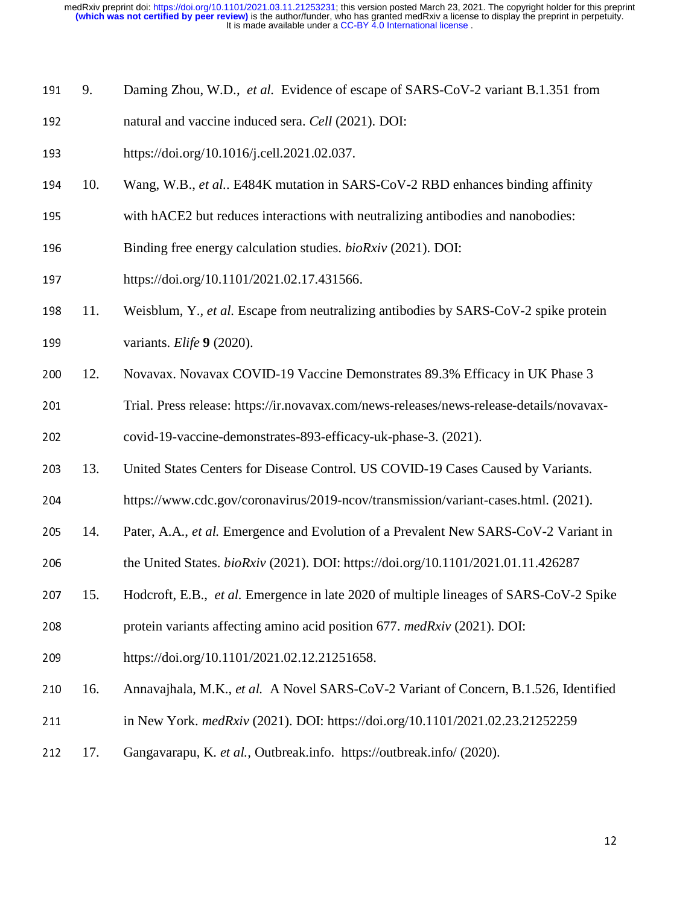- <sup>191</sup>9. Daming Zhou, W.D., *et al.* Evidence of escape of SARS-CoV-2 variant B.1.351 from
- 192 natural and vaccine induced sera. *Cell* (2021). DOI:
- 193 https://doi.org/10.1016/j.cell.2021.02.037.
- <sup>194</sup>10. Wang, W.B., *et al.*. E484K mutation in SARS-CoV-2 RBD enhances binding affinity
- 195 with hACE2 but reduces interactions with neutralizing antibodies and nanobodies:
- 196 Binding free energy calculation studies. *bioRxiv* (2021). DOI:
- 197 https://doi.org/10.1101/2021.02.17.431566.
- <sup>198</sup>11. Weisblum, Y.*, et al.* Escape from neutralizing antibodies by SARS-CoV-2 spike protein 199 variants. *Elife* **9** (2020).
- 200 12. Novavax. Novavax COVID-19 Vaccine Demonstrates 89.3% Efficacy in UK Phase 3
- 201 Trial. Press release: https://ir.novavax.com/news-releases/news-release-details/novavax-
- 202 covid-19-vaccine-demonstrates-893-efficacy-uk-phase-3. (2021).
- 203 13. United States Centers for Disease Control. US COVID-19 Cases Caused by Variants.
- <sup>204</sup>https://www.cdc.gov/coronavirus/2019-ncov/transmission/variant-cases.html. (2021).
- 205 14. Pater, A.A., *et al.* Emergence and Evolution of a Prevalent New SARS-CoV-2 Variant in
- 206 the United States. *bioRxiv* (2021). DOI: https://doi.org/10.1101/2021.01.11.426287
- <sup>207</sup>15. Hodcroft, E.B., *et al.* Emergence in late 2020 of multiple lineages of SARS-CoV-2 Spike
- <sup>208</sup>protein variants affecting amino acid position 677. *medRxiv* (2021). DOI:
- 209 https://doi.org/10.1101/2021.02.12.21251658.
- <sup>210</sup>16. Annavajhala, M.K., *et al.* A Novel SARS-CoV-2 Variant of Concern, B.1.526, Identified
- <sup>211</sup>in New York. *medRxiv* (2021). DOI: https://doi.org/10.1101/2021.02.23.21252259
- <sup>212</sup>17. Gangavarapu, K. *et al.,* Outbreak.info. https://outbreak.info/ (2020).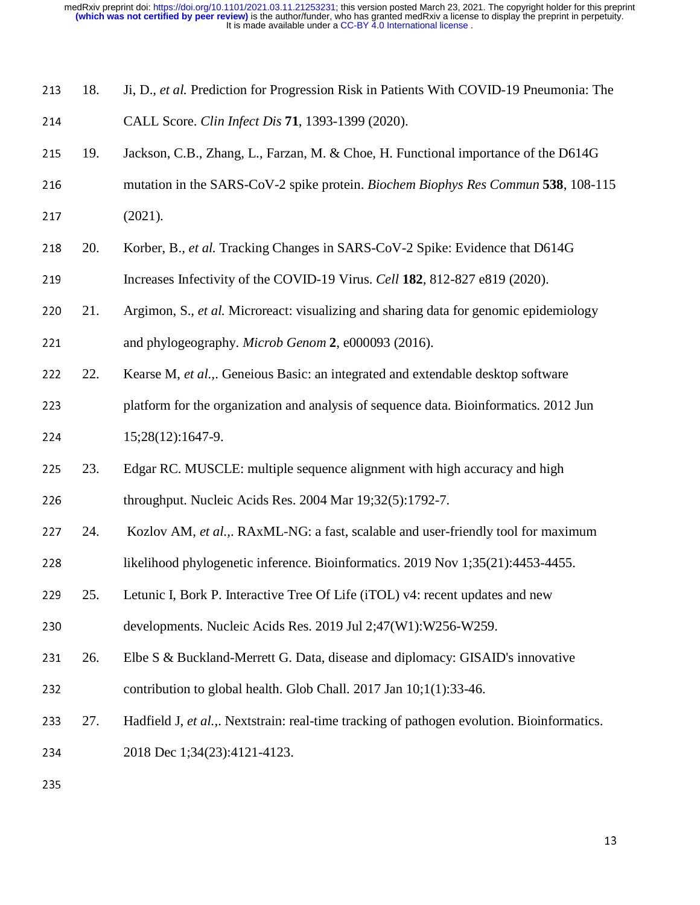| 213 | 18. | Ji, D., et al. Prediction for Progression Risk in Patients With COVID-19 Pneumonia: The    |
|-----|-----|--------------------------------------------------------------------------------------------|
| 214 |     | CALL Score. Clin Infect Dis 71, 1393-1399 (2020).                                          |
| 215 | 19. | Jackson, C.B., Zhang, L., Farzan, M. & Choe, H. Functional importance of the D614G         |
| 216 |     | mutation in the SARS-CoV-2 spike protein. Biochem Biophys Res Commun 538, 108-115          |
| 217 |     | (2021).                                                                                    |
| 218 | 20. | Korber, B., et al. Tracking Changes in SARS-CoV-2 Spike: Evidence that D614G               |
| 219 |     | Increases Infectivity of the COVID-19 Virus. Cell 182, 812-827 e819 (2020).                |
| 220 | 21. | Argimon, S., et al. Microreact: visualizing and sharing data for genomic epidemiology      |
| 221 |     | and phylogeography. Microb Genom 2, e000093 (2016).                                        |
| 222 | 22. | Kearse M, et al.,. Geneious Basic: an integrated and extendable desktop software           |
| 223 |     | platform for the organization and analysis of sequence data. Bioinformatics. 2012 Jun      |
| 224 |     | 15;28(12):1647-9.                                                                          |
| 225 | 23. | Edgar RC. MUSCLE: multiple sequence alignment with high accuracy and high                  |
| 226 |     | throughput. Nucleic Acids Res. 2004 Mar 19;32(5):1792-7.                                   |
| 227 | 24. | Kozlov AM, et al.,. RAxML-NG: a fast, scalable and user-friendly tool for maximum          |
| 228 |     | likelihood phylogenetic inference. Bioinformatics. 2019 Nov 1;35(21):4453-4455.            |
| 229 | 25. | Letunic I, Bork P. Interactive Tree Of Life (iTOL) v4: recent updates and new              |
| 230 |     | developments. Nucleic Acids Res. 2019 Jul 2;47(W1):W256-W259.                              |
| 231 | 26. | Elbe S & Buckland-Merrett G. Data, disease and diplomacy: GISAID's innovative              |
| 232 |     | contribution to global health. Glob Chall. 2017 Jan 10;1(1):33-46.                         |
| 233 | 27. | Hadfield J, et al.,. Nextstrain: real-time tracking of pathogen evolution. Bioinformatics. |
| 234 |     | 2018 Dec 1;34(23):4121-4123.                                                               |
|     |     |                                                                                            |

235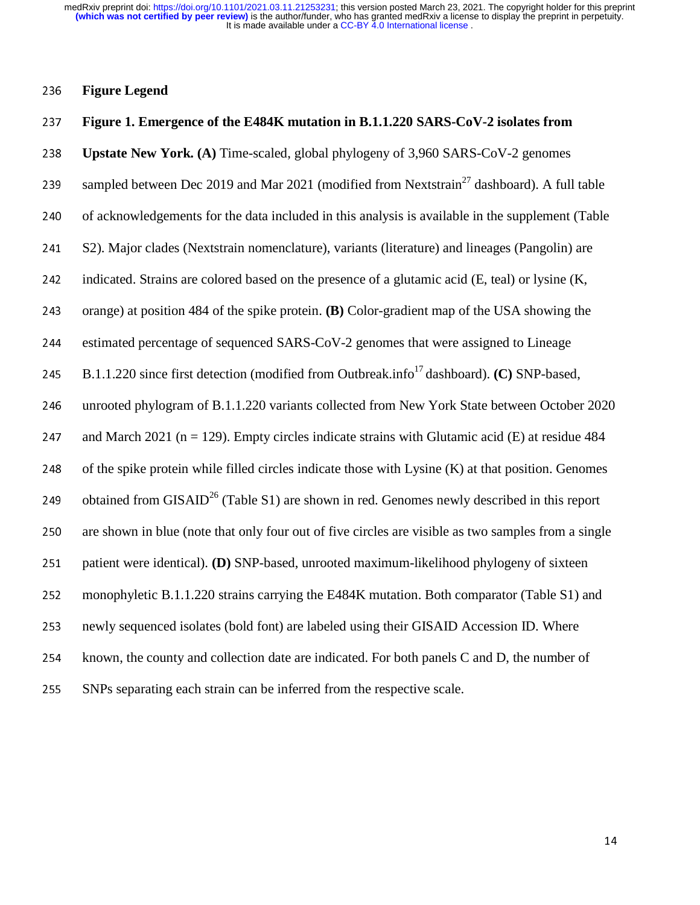## <sup>236</sup>**Figure Legend**

## <sup>237</sup>**Figure 1. Emergence of the E484K mutation in B.1.1.220 SARS-CoV-2 isolates from**

<sup>238</sup>**Upstate New York. (A)** Time-scaled, global phylogeny of 3,960 SARS-CoV-2 genomes

- 239 sampled between Dec 2019 and Mar 2021 (modified from Nextstrain<sup>27</sup> dashboard). A full table
- 240 of acknowledgements for the data included in this analysis is available in the supplement (Table
- 241 S2). Major clades (Nextstrain nomenclature), variants (literature) and lineages (Pangolin) are
- 242 indicated. Strains are colored based on the presence of a glutamic acid  $(E, \text{teal})$  or lysine  $(K, \text{teal})$
- <sup>243</sup>orange) at position 484 of the spike protein. **(B)** Color-gradient map of the USA showing the
- 244 estimated percentage of sequenced SARS-CoV-2 genomes that were assigned to Lineage
- 245 B.1.1.220 since first detection (modified from Outbreak.info<sup>17</sup> dashboard). **(C) SNP-based,**

246 unrooted phylogram of B.1.1.220 variants collected from New York State between October 2020

247 and March 2021 ( $n = 129$ ). Empty circles indicate strains with Glutamic acid (E) at residue 484

248 of the spike protein while filled circles indicate those with Lysine  $(K)$  at that position. Genomes

249 obtained from GISAID<sup>26</sup> (Table S1) are shown in red. Genomes newly described in this report

250 are shown in blue (note that only four out of five circles are visible as two samples from a single

- 251 patient were identical). **(D)** SNP-based, unrooted maximum-likelihood phylogeny of sixteen
- 252 monophyletic B.1.1.220 strains carrying the E484K mutation. Both comparator (Table S1) and
- 253 newly sequenced isolates (bold font) are labeled using their GISAID Accession ID. Where
- 254 known, the county and collection date are indicated. For both panels C and D, the number of
- 255 SNPs separating each strain can be inferred from the respective scale.